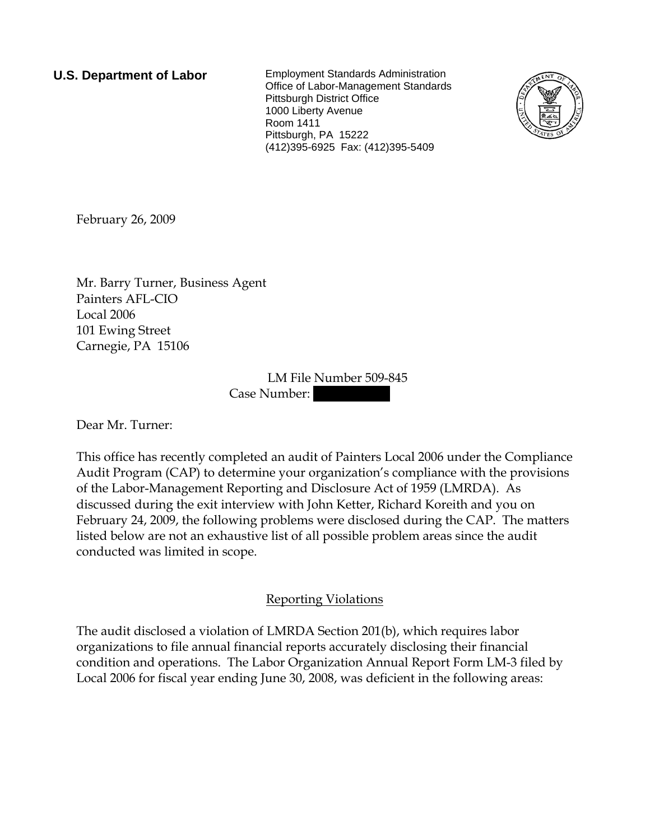**U.S. Department of Labor** Employment Standards Administration Office of Labor-Management Standards Pittsburgh District Office 1000 Liberty Avenue Room 1411 Pittsburgh, PA 15222 (412)395-6925 Fax: (412)395-5409



February 26, 2009

Mr. Barry Turner, Business Agent Painters AFL-CIO Local 2006 101 Ewing Street Carnegie, PA 15106

> LM File Number 509-845 Case Number:

Dear Mr. Turner:

This office has recently completed an audit of Painters Local 2006 under the Compliance Audit Program (CAP) to determine your organization's compliance with the provisions of the Labor-Management Reporting and Disclosure Act of 1959 (LMRDA). As discussed during the exit interview with John Ketter, Richard Koreith and you on February 24, 2009, the following problems were disclosed during the CAP. The matters listed below are not an exhaustive list of all possible problem areas since the audit conducted was limited in scope.

## Reporting Violations

The audit disclosed a violation of LMRDA Section 201(b), which requires labor organizations to file annual financial reports accurately disclosing their financial condition and operations. The Labor Organization Annual Report Form LM-3 filed by Local 2006 for fiscal year ending June 30, 2008, was deficient in the following areas: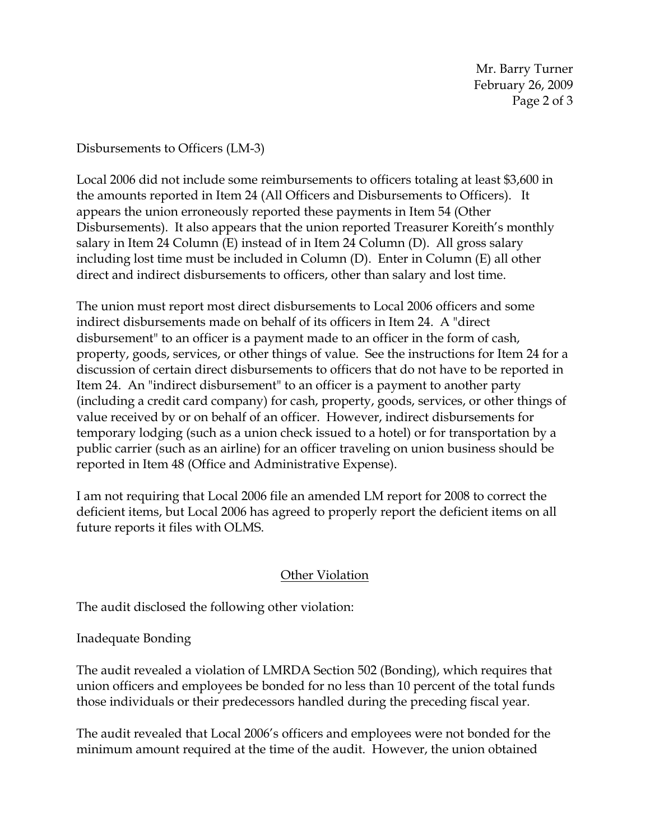Disbursements to Officers (LM-3)

Local 2006 did not include some reimbursements to officers totaling at least \$3,600 in the amounts reported in Item 24 (All Officers and Disbursements to Officers). It appears the union erroneously reported these payments in Item 54 (Other Disbursements). It also appears that the union reported Treasurer Koreith's monthly salary in Item 24 Column (E) instead of in Item 24 Column (D). All gross salary including lost time must be included in Column (D). Enter in Column (E) all other direct and indirect disbursements to officers, other than salary and lost time.

The union must report most direct disbursements to Local 2006 officers and some indirect disbursements made on behalf of its officers in Item 24. A "direct disbursement" to an officer is a payment made to an officer in the form of cash, property, goods, services, or other things of value. See the instructions for Item 24 for a discussion of certain direct disbursements to officers that do not have to be reported in Item 24. An "indirect disbursement" to an officer is a payment to another party (including a credit card company) for cash, property, goods, services, or other things of value received by or on behalf of an officer. However, indirect disbursements for temporary lodging (such as a union check issued to a hotel) or for transportation by a public carrier (such as an airline) for an officer traveling on union business should be reported in Item 48 (Office and Administrative Expense).

I am not requiring that Local 2006 file an amended LM report for 2008 to correct the deficient items, but Local 2006 has agreed to properly report the deficient items on all future reports it files with OLMS.

## Other Violation

The audit disclosed the following other violation:

Inadequate Bonding

The audit revealed a violation of LMRDA Section 502 (Bonding), which requires that union officers and employees be bonded for no less than 10 percent of the total funds those individuals or their predecessors handled during the preceding fiscal year.

The audit revealed that Local 2006's officers and employees were not bonded for the minimum amount required at the time of the audit. However, the union obtained